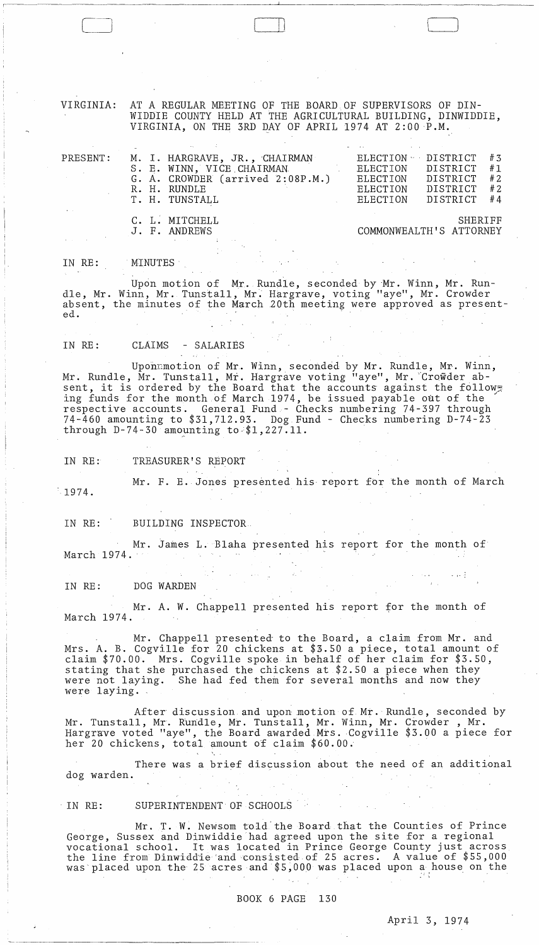VIRGINIA: AT A REGULAR MEETING OF THE BOARD OF SUPERVISORS OF DIN-WIDDIE COUNTY HELD AT THE AGRICULTURAL BUILDING, DINWIDDIE, VIRGINIA, ON THE 3RD DAY OF APRIL 1974 AT  $2:00$  P.M.

| PRESENT: | M. I. HARGRAVE, JR., CHAIRMAN<br>S. E. WINN, VICE CHAIRMAN<br>G. A. CROWDER (arrived 2:08P.M.)<br>R. H. RUNDLE<br>T. H. TUNSTALL | $ELECTION \cdot DISTRT$<br>ELECTION DISTRICT<br>ELECTION DISTRICT<br>ELECTION<br>ELECTION | DISTRICT<br>DISTRICT               | # 3<br>#1<br>#2<br># 2<br>#4 |
|----------|----------------------------------------------------------------------------------------------------------------------------------|-------------------------------------------------------------------------------------------|------------------------------------|------------------------------|
|          | C. L. MITCHELL<br>J. F. ANDREWS                                                                                                  |                                                                                           | SHERIFF<br>COMMONWEALTH'S ATTORNEY |                              |

IN RE: MINUTES'

Upon motion of Mr. Rundle, seconded by 'Mr. Winn, Mr. Rundle, Mr. Winn, Mr. Tunstall, Mr. Hargrave, voting "aye", Mr. Crowder absent, the minutes of the March 20th meeting were approved as presented.

IN RE: CLAIMS - SALARIES

 $\Box$ 

Uponmmotion of Mr. Winn, seconded by Mr. Rundle, Mr. Winn, Mr. Rundle, Mr. Tunstall, Mr. Hargrave voting "aye", Mr. "Crowder absent, it is ordered by the Board that the accounts against the follow. ing funds for the month of March 1974, be issued payable out of the respective accounts. General Fund - Checks numbering 74-397 through 74-460 amounting to \$31,712.93. Dog Fund - Checks numbering D-74-23 through  $D-74-30$  amounting to-\$1,227.11.

IN RE: TREASURER'S REPORT

 $-1974.$ Mr. F. E. Jones presented his report for the month of March

IN RE: BUILDING INSPECTOR.

Mr. James L. Blaha presented his report for the month of March  $1974.$ 

IN RE: DOG WARDEN

Mr. A. W. Chappell presented his report for the month of March 1974.

Mr. Chappell presented' to the Board, a claim from Mr. and Mrs. A. B. Cogville for 20 chickens at \$3.50 a piece, total amount of claim \$70.00. Mrs. Cogvi1le spoke in behalf of her claim for \$3.50, stating that she purchased the chickens at \$2.50 a piece when they were not laying. She had fed them for several months and now they were laying.

After discussion and upon motion of Mr. Rundle, seconded by Mr. Tunstall, Mr. Rundle, Mr. Tunstall, Mr. Winn, Mr. Crowder, Mr. Hargrave voted "aye", the Board awarded Mrs.Cogvi11e \$3.00 a piece for her 20 chickens, total amount of claim \$60.00.

There was a brief discussion about the need of an additional dog warden.

IN RE: SUPERINTENDENT OF SCHOOLS

Mr. T. W. Newsom told'the Board that the Counties of Prince George, Sussex and Dinwiddie had agreed upon the site for a regional vocational school. It was located in Prince George County just across the line from Dinwidd'ie'and consisted of 25 acres. A value of \$55,000 was placed upon the 25 acres and \$5,000 was placed upon a house on the

 $\lambda_{\rm{max}}$ 

 $\sim 100$ 

April 3, 1974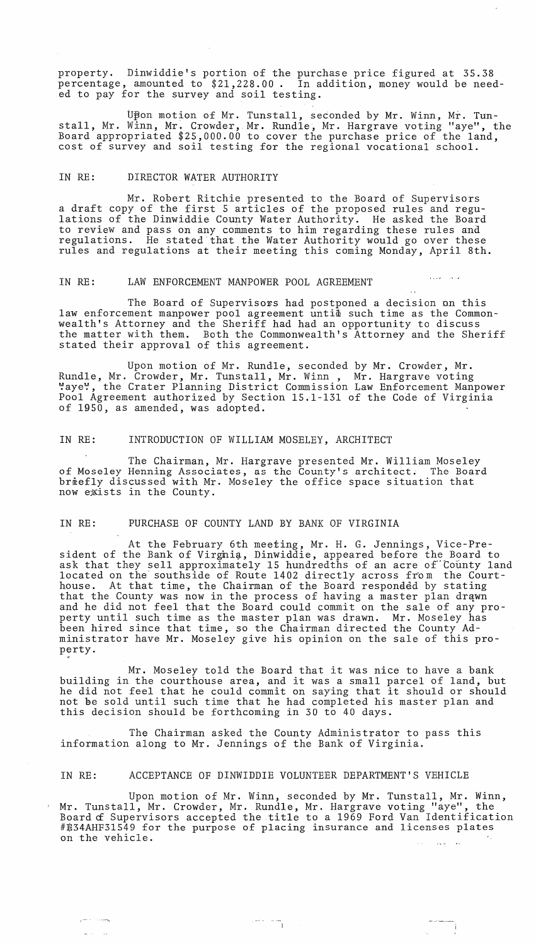property. Dinwiddie's portion of the purchase price figured at 35.38 propose, amounted to \$21,228.00. In addition, money would be needed to pay for the survey and soil testing.

Upon motion of Mr. Tunstall, seconded by Mr. Winn, Mr. Tunstall, Mr. Winn, Mr. Crowder, Mr. Rundle, Mr. Hargrave voting "aye", the Board appropriated \$25,000.00 to cover the purchase price of the land, cost of survey and soil testing for the regional vocational school.

### IN RE: DIRECTOR WATER AUTHORITY

Mr. Robert Ritchie presented to the Board of Supervisors a draft copy of the first 5 articles of the proposed rules and regulations of the Dinwiddie County Water Authority. He asked the Board to review and pass on any comments to him regarding these rules and regulations. He stated that the Water Authority would go over these rules and regulations at their meeting this coming Monday, April 8th.

# IN RE: LAW ENFORCEMENT MANPOWER POOL AGREEMENT

The Board of Supervisors had postponed a decision on this law enforcement manpower pool agreement untid such time as the Commonwealth's Attorney and the Sheriff had had an opportunity to discuss the matter with them. Both the Commonwealth's Attorney and the Sheriff stated their approval of this agreement.

متحدث متلوء

Upon motion of Mr. Rundle, seconded by Mr. Crowder, Mr. Rundle, Mr. Crowder, Mr. Tunstall, Mr. Winn, Mr. Hargrave voting "aye", the Crater Planning District Commission Law Enforcement Manpower Pool Agreement authorized by Section 15.1-131 of the Code of Virginia of 1950, as amended, was adopted.

### IN RE: INTRODUCTION OF WILLIAM MOSELEY, ARCHITECT

The Chairman, Mr. Hargrave presented Mr. William Moseley of Moseley Henning Associates, as the County's architect. The Board briefly discussed with Mr. Moseley the office space situation that now exists in the County.

### IN RE: PURCHASE OF COUNTY LAND BY BANK OF VIRGINIA

~

 $e^{\pm i\omega}$  -  $\cdots$ 

 $\omega_{\rm{max}} = 1.5$ 

At the February 6th meeting, Mr. H. G. Jennings, Vice-President of the Bank of Virgnia, Dinwiddie, appeared before the Board to ask that they sell approximately 15 hundredths of an acre of County land located on the southside of Route 1402 directly across from the Courthouse. At that time, the Chairman of the Board responded by stating that the County was now in the process of having a master plan drqwn and he did not feel that the Board could commit on the sale of any property until such time as the master plan was drawn. Mr. Moseley has been hired since that time, so the Chairman directed the County Administrator have Mr. Moseley give his opinion on the sale of this property.

Mr. Moseley told the Board that it was nice to have a bank building in the courthouse area, and it was small parcel of land, but building in the courthouse area, and it was a small partel of land, but<br>he did not feel that he could commit on saying that it should or should not be sold until such time that he had completed his master plan and this decision should be forthcoming in 30 to 40 days.

The Chairman asked the County Administrator to pass this information along to Mr. Jennings of the Bank of Virginia.

### IN RE: ACCEPTANCE OF DINWIDDIE VOLUNTEER DEPARTMENT'S VEHICLE

 $\label{eq:2} \begin{array}{cc} \mathcal{L}_{\text{max}} & \mathcal{L}_{\text{max}} & \mathcal{L}_{\text{max}} \\ \mathcal{L}_{\text{max}} & \mathcal{L}_{\text{max}} & \mathcal{L}_{\text{max}} \end{array}$ 

Upon motion of Mr. Winn, seconded by Mr. Tunstall, Mr. Winn, Mr. Tunstall, Mr. Crowder, Mr. Rundle, Mr. Hargrave voting "aye", the Mr. Tunstail, Mr. Crowder, Mr. Kundle, Mr. naigiave voling aye, the<br>Board of Supervisors accepted the title to a 1969 Ford Van Identification #E34AHF3l549 for the purpose of placing insurance and licenses plates on the vehicle. أنفق المتفهول المنابذة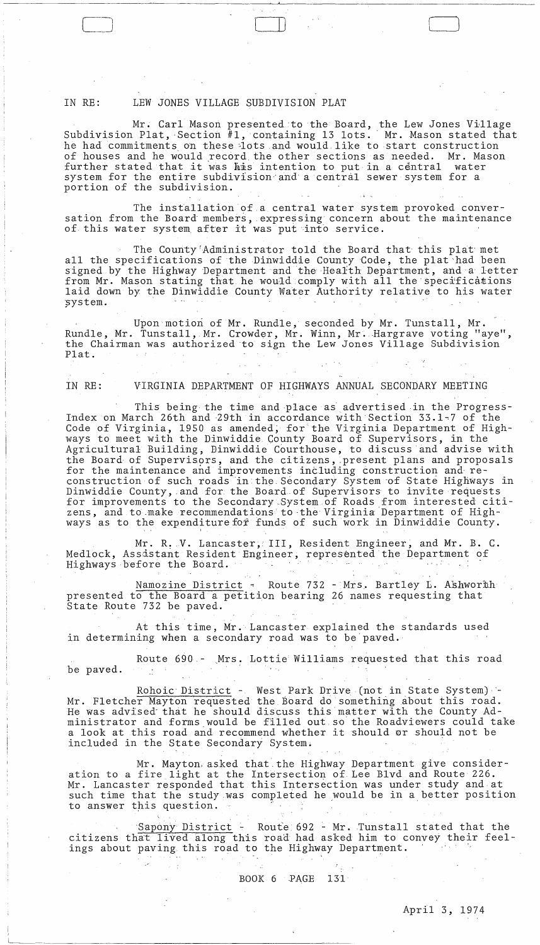# IN RE: LEW JONES VILLAGE SUBDIVISION PLAT

Mr. Carl Mason presented to the Board, the Lew Jones Village Subdivision Plat, Section #1, containing 13 lots. Mr. Mason stated that he had commitments on these lots and would like to start construction of houses and he would record, the other sections as needed. Mr. Mason further stated that it was his intention to put in a central water system for the entire subdivision and a central sewer system for a portion of the subdivision.

C] Lll [

The installation of a central water system provoked conversation from the Board members, expressing concern about the maintenance of this water system after it was put into service.

The County'Administrator told the Board that this plat'met all the specifications of the Dinwiddie County Code, the plat had been signed by the Highway Department and the Health Department, and a letter from Mr. Mason stating that he would comply with all the specifications laid down by the Dinwiddie County Water Authority relative to his water system.

Upon motion of Mr. Rundle, seconded by Mr. Tunstall, Mr. Rundle, Mr. Tunstall, Mr. Crowder, Mr. Winn, Mr. Hargrave voting "aye", the Chairman was authorized to sign the Lew Jones Village Subdivision Plat.

''---------~-

# IN RE: VIRGINIA DEPARTMENT OF HIGHWAYS ANNUAL SECONDARY MEETING

This being the time and place as advertised in the Progress-Index on March 26th and '29th in accordance with Section 33.1~7 of the Code of Virginia, 1950 as amended; for the Virginia Department of Highways to meet with the Dinwiddie County Board of Supervisors, in the Agricultural Building, Dinwiddie Courthouse, to discuss and advise with the Board of Supervisors, and the citizens, present plans and proposals for the maintenance and improvements including construction and reconstruction of such roads in the Secondary System of State Highways in Dinwiddie County, and for the Board of Supervisors to invite requests for improvements to the Secondary\_System of Roads from interested citizens, and to make recommendations to the Virginia Department of Highways as to the expenditure for funds of such work in Dinwiddie County.

Mr. R. V. Lancaster, III, Resident Engineer, and Mr. B. C. Medlock, Assistant Resident Engineer, represented the Department of Highways before the Board.

I

Namozine District - Route 732 - Mrs. Bartley L. Ashworth presented to the Board a petition bearing 26 names requesting that State Route 732 be paved.

At this time, Mr. Lancaster explained the standards used in determining when a secondary road was to be' paved. '

Route 690 - Mrs. Lottie Williams requested that this road be paved.

Rohoic District - West Park Drive (not in State System) -Mr. Fletcher Mayton requested the Board do something about this road. He was advised- that he should discuss this matter with the County Administrator and forms would be filled out. so' the Roadviewers could take a look at this road and recommend whether it should or should not be included in the State Secondary System.

Mr. Mayton, asked that the Highway Department give consideration to a fire light at the Intersection of Lee Blvd and Route 226. Mr. Lancaster responded that this Intersection was under study and at such time that the study was completed he would be in a better position to answer this question.

Sapony District - Route 692 - Mr. Tunstall stated that the citizens that lived along this road had asked him to convey their feelings about paving this road to the Highway Department.

BOOK 6 PAGE 131

 $\sim 10$ 

 $\sim 100$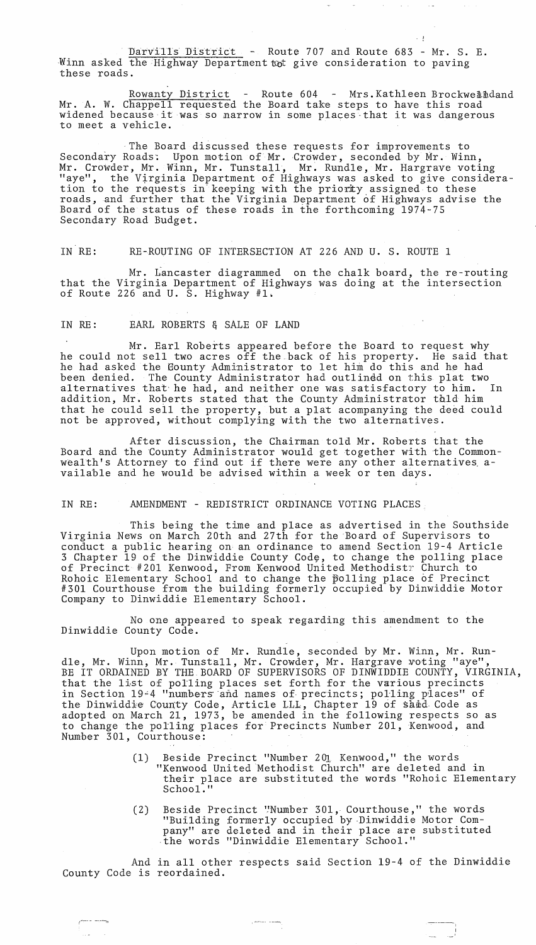Darvills District - Route 707 and Route 683 - Mr. S. E. Winn asked the Highway Department tot give consideration to paving these roads.

Rowanty District - Route 604 - Mrs. Kathleen Brockwelldand Mr. A. W. Chappell requested the Board take steps to have this road widened because it was so narrow in some places that it was dangerous to meet a vehicle.

J

·The Board discussed these requests for improvements to Secondary Roads: Upon motion of Mr. Crowder, seconded by Mr. Winn, Mr. Crowder, Mr. Winn, Mr. Tunstall, Mr. Rundle, Mr. Hargrave voting "aye", the Virginia Department of Highways was asked to give consideration to the requests in keeping with the priority assigned to these roads, and further that the Virginia Department of Highways advise the Board of the status of these roads in the forthcoming 1974-75 Secondary Road Budget.

IN RE: RE-ROUTING OF INTERSECTION AT 226 AND U. S. ROUTE 1

Mr. Lancaster diagrammed on the chalk board, the re-routing that the Virginia Department of Highways was doing at the intersection of Route 226 and U. S. Highway #1.

IN RE: EARL ROBERTS & SALE OF LAND

Mr. Earl Roberts appeared before the Board to request why he could not sell two acres off the.back of his property. He said that he had asked the Eounty Administrator to let him do this and he had been denied. The County Administrator had outlindd on this plat two alternatives that he had, and neither one was satisfactory to him. In addition, Mr. Roberts stated that the County Administrator thld him that he could sell the property, but a plat acompanying the deed could not be approved, without complying with the two alternatives.

After discussion, the Chairman told Mr. Roberts that the Board and the County Administrator would get together with the Commonboard and the county Administrator would get together with the common<br>wealth's Attorney to find out if there were any other alternatives available and he would be advised within a week or ten days.

IN RE: AMENDMENT - REDISTRICT ORDINANCE VOTING PLACES,

This being the time and place as advertised in the Southside Virginia News on March 20th and 27th for the Board of Supervisors to conduct a public hearing on an ordinance to amend Section 19-4 Article 3 Chapter 19 of the Dinwiddie County Code, to change the polling place of Precinct #201 Kenwood, From Kenwood United Methodistr Church to Rohoic Elementary School and to change the  $\beta$ olling place of Precinct #301 Courthouse from the building formerly occupied by Dinwiddie Motor Company to Dinwiddie Elementary School.

No one appeared to speak regarding this amendment to the Dinwiddie County Code.

Upon motion of Mr. Rundle, seconded by Mr. Winn, Mr. Rundle, Mr. Winn, Mr. Tunstall, Mr. Crowder, Mr. Hargrave voting "aye", BE IT ORDAINED BY THE. BOARD OF SUPERVISORS OF DINWIDDIE COUNTY, V1RGINIA, that the list of polling places set forth for the various precincts in Section 1944 "numbers and names of precincts; polling places" of the Dinwiddie County Code, Article LL1, Chapter 19 6f samd. Code as adopted on March 21, 1973, be amended in the following respects so as to change the polling places for Precincts Number 201, Kenwood, and Number 301, Courthouse:

- (1) Beside Precinct "Number 201 Kenwood," the words "Kenwood United Methodist Church" are deleted and in their place are substituted the words "Rohoic Elementary School.
- (2) Beside Precinct '!Number 301, Courthouse," the words "Building formerly occupied by-Dinwiddie Motor Company" are deleted and in their place are substituted ·the words "Dinwiddie Elementary School."

And in all other respects said Section 19-4 of the Dinwiddie County Code is reordained.

---~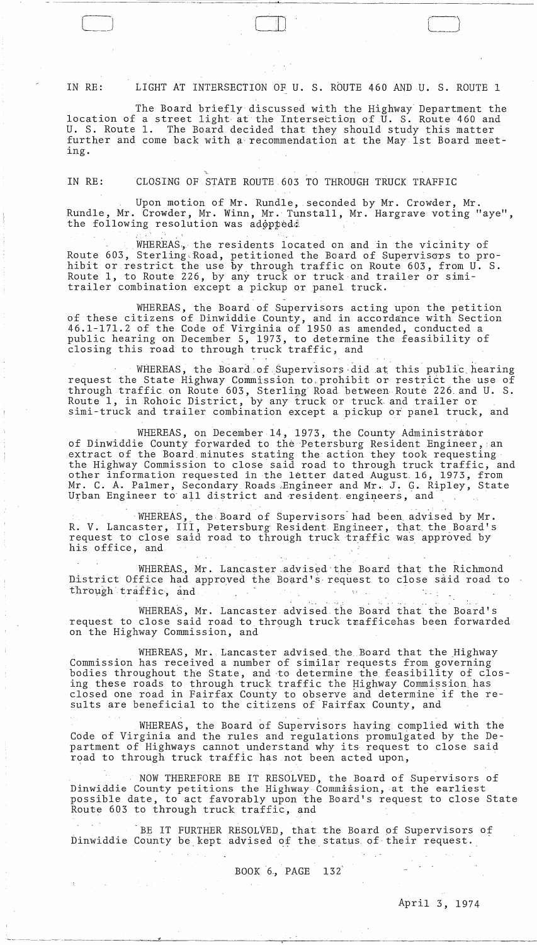IN RE: LIGHT AT INTERSECTION OF U. S. ROUTE 460 AND U. S. ROUTE 1

 $\lfloor \cdot \rfloor$ 

The Board briefly discussed with the Highway Department the location of a street light at the Intersection of U. S. Route 460 and U. S. Route 1. The Board decided that they should study this matter further and come back with a'recommendation at the May 1st Board meeting.

LJ [ (~-\

IN RE: CLOSING OF STATE ROUTE.603 TO THROUGH TRUCK TRAFFIC

Upon motion of Mr. Rundle, seconded by Mr. Crowder, Mr. Rundle, Mr. Crowder, Mr. Winn, Mr. Tunstall, Mr. Hargrave voting "aye", the following resolution was adoppede

WHEREAS. the residents located on and in the vicinity of Route 603, Sterling Road, petitioned the Board of Supervisors to prohibit or restrict the use by through traffic on Route 603, from U. S. Route 1, to Route 226, by any truck or truck·and trailer or simitrailer combination except a pickup or panel truck.

WHEREAS, the Board of Supervisors acting upon the petition of these citizens of Dinwiddie County, and in accordance with Section 46.1-171.2 of the Code of Virginia of 1950 as amended, conducted a public hearing on December 5, 1973, to determine the feasibility of closing this road to through truck traffic, and

. . WHEREAS, the Board of Supervisors did at this public hearing request the State Highway Commission to,prohibit or restrict the use of through traffic on Route 603, Sterling Road between Route 226 and U. S. Route 1, in Rohoic District, by any fruck or truck and trailer or simi-truck and trailer combination except a pickup *of* panel truck, and

WHEREAS, on December 14, 1973, the County Administrator of Dinwiddie County forwarded to the Petersburg Resident Engineer, an extract of the Board minutes stating the action they took requesting extract of the Board minutes stating the action they took requesting<br>
other information requested in the letter dated August 16, 1973, from<br>
Mr. C. A. Palmer, Secondary Roads Engineer and Mr. J. G. Ripley, State<br>
Urban Eng other information requested in the letter dated August. 16, 1973, from Mr. C. A. Palmer, Secondary Roads ;Engineer and Mr. J. G. Ripley, State Urban Engineer to all district and resident engineers, and

 $\cdot$  WHEREAS, the Board of Supervisors had been advised by Mr. R. V. Lancaster, III, Petersburg Resident Engineer, that the Board's request to close said road to through truck traffic was approved by

WHEREAS, Mr. Lancaster advised the Board that the Richmond District Office had approyed the Board's, request to ciose said road to through traffic, and  $\mathbb{P}^1 \times \mathbb{P}^2 \times \mathbb{P}^1 \times \mathbb{P}^1 \times \mathbb{P}^1 \times \mathbb{P}^1 \times \mathbb{P}^1 \times \mathbb{P}^1 \times \mathbb{P}^1 \times \mathbb{P}^1 \times \mathbb{P}^1 \times \mathbb{P}^1 \times \mathbb{P}^1 \times \mathbb{P}^1 \times \mathbb{P}^1 \times \mathbb{P}^1 \times \mathbb{P}^1 \times \mathbb{P}^1 \times \mathbb{P}^1 \times \mathbb{P}^1 \times \mathbb{P}^1 \times \mathbb{P}^1 \times$ 

WHEREAS, Mr. Lancaster advised the Board that the Board's request to close said road to through truck trafficehas been forwarded on the Highway Commission, and

WHEREAS, Mr. Lancaster advised the Board that the Highway Commission has received a number of similar requests from governing bodies throughout the State, and to determine the feasibility of closing these roads to through truck traffic the Highway Commission 'has closed one road in Fairfax County to observe and determine if the results are beneficial to the citizens of 'Fairfax County, and

, ' WHEREAS, the Board of Supervisors having complied with the Code of Virginia and the rules and regulations promulgated by the Department of Highways cannot understand why its request to close said road to through truck traffic has not been acted upon,

NOW THEREFORE BE IT RESOLVED, the Board of Supervisors of Dinwiddie County petitions the Highway Commission, at the earliest possible date, to act favorably upon the Board's request to close State Route 603 to through truck traffic, and

BE IT FURTHER RESOLVED, that the Board of Supervisors of Dinwiddie County be kept advised of the status of their request.

BOOK 6, PAGE 132